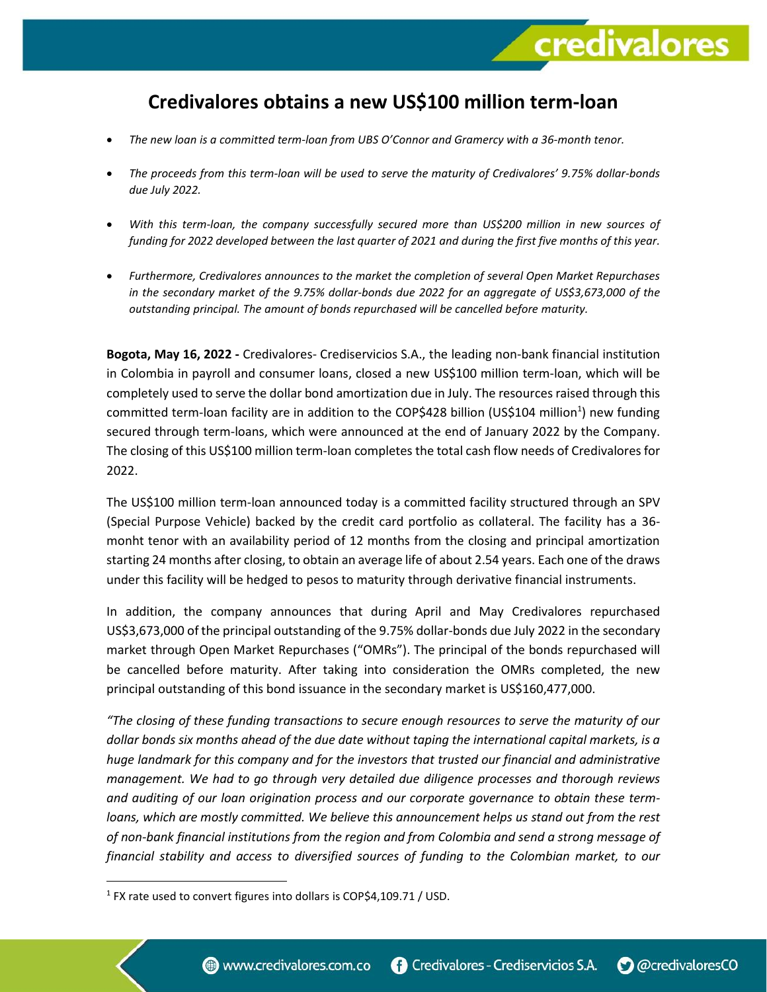## **Credivalores obtains a new US\$100 million term-loan**

credivalores

- *The new loan is a committed term-loan from UBS O'Connor and Gramercy with a 36-month tenor.*
- *The proceeds from this term-loan will be used to serve the maturity of Credivalores' 9.75% dollar-bonds due July 2022.*
- *With this term-loan, the company successfully secured more than US\$200 million in new sources of funding for 2022 developed between the last quarter of 2021 and during the first five months of this year.*
- *Furthermore, Credivalores announces to the market the completion of several Open Market Repurchases in the secondary market of the 9.75% dollar-bonds due 2022 for an aggregate of US\$3,673,000 of the outstanding principal. The amount of bonds repurchased will be cancelled before maturity.*

**Bogota, May 16, 2022 -** Credivalores- Crediservicios S.A., the leading non-bank financial institution in Colombia in payroll and consumer loans, closed a new US\$100 million term-loan, which will be completely used to serve the dollar bond amortization due in July. The resources raised through this committed term-loan facility are in addition to the COP\$428 billion (US\$104 million<sup>1</sup>) new funding secured through term-loans, which were announced at the end of January 2022 by the Company. The closing of this US\$100 million term-loan completes the total cash flow needs of Credivalores for 2022.

The US\$100 million term-loan announced today is a committed facility structured through an SPV (Special Purpose Vehicle) backed by the credit card portfolio as collateral. The facility has a 36 monht tenor with an availability period of 12 months from the closing and principal amortization starting 24 months after closing, to obtain an average life of about 2.54 years. Each one of the draws under this facility will be hedged to pesos to maturity through derivative financial instruments.

In addition, the company announces that during April and May Credivalores repurchased US\$3,673,000 of the principal outstanding of the 9.75% dollar-bonds due July 2022 in the secondary market through Open Market Repurchases ("OMRs"). The principal of the bonds repurchased will be cancelled before maturity. After taking into consideration the OMRs completed, the new principal outstanding of this bond issuance in the secondary market is US\$160,477,000.

*"The closing of these funding transactions to secure enough resources to serve the maturity of our dollar bonds six months ahead of the due date without taping the international capital markets, is a huge landmark for this company and for the investors that trusted our financial and administrative management. We had to go through very detailed due diligence processes and thorough reviews and auditing of our loan origination process and our corporate governance to obtain these termloans, which are mostly committed. We believe this announcement helps us stand out from the rest of non-bank financial institutions from the region and from Colombia and send a strong message of financial stability and access to diversified sources of funding to the Colombian market, to our* 

<sup>&</sup>lt;sup>1</sup> FX rate used to convert figures into dollars is COP\$4,109.71 / USD.